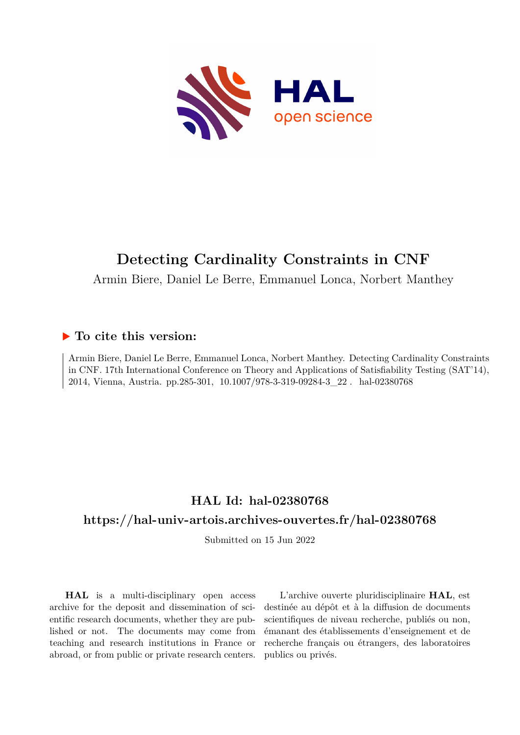

# **Detecting Cardinality Constraints in CNF**

Armin Biere, Daniel Le Berre, Emmanuel Lonca, Norbert Manthey

## **To cite this version:**

Armin Biere, Daniel Le Berre, Emmanuel Lonca, Norbert Manthey. Detecting Cardinality Constraints in CNF. 17th International Conference on Theory and Applications of Satisfiability Testing (SAT'14), 2014, Vienna, Austria. pp.285-301, 10.1007/978-3-319-09284-3 22. hal-02380768

## **HAL Id: hal-02380768**

# **<https://hal-univ-artois.archives-ouvertes.fr/hal-02380768>**

Submitted on 15 Jun 2022

**HAL** is a multi-disciplinary open access archive for the deposit and dissemination of scientific research documents, whether they are published or not. The documents may come from teaching and research institutions in France or abroad, or from public or private research centers.

L'archive ouverte pluridisciplinaire **HAL**, est destinée au dépôt et à la diffusion de documents scientifiques de niveau recherche, publiés ou non, émanant des établissements d'enseignement et de recherche français ou étrangers, des laboratoires publics ou privés.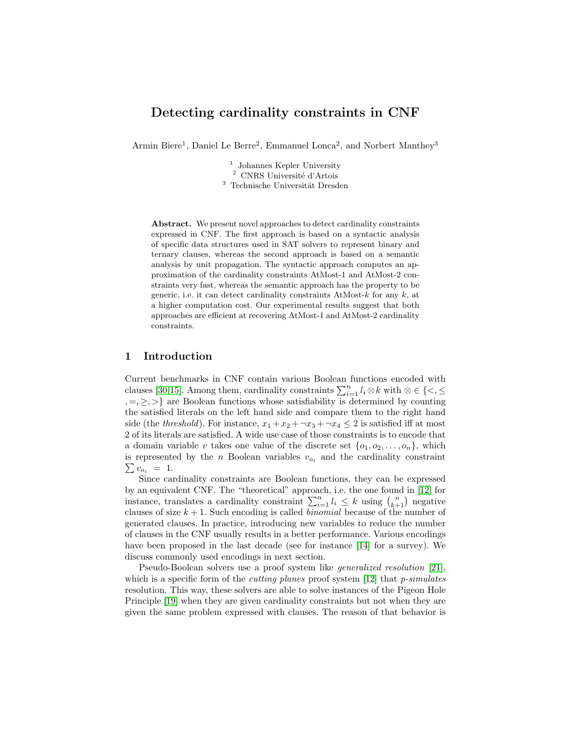## Detecting cardinality constraints in CNF

Armin Biere<sup>1</sup>, Daniel Le Berre<sup>2</sup>, Emmanuel Lonca<sup>2</sup>, and Norbert Manthey<sup>3</sup>

<sup>1</sup> Johannes Kepler University  $^2\,$  CNRS Université d'Artois  $3$  Technische Universität Dresden

Abstract. We present novel approaches to detect cardinality constraints expressed in CNF. The first approach is based on a syntactic analysis of specific data structures used in SAT solvers to represent binary and ternary clauses, whereas the second approach is based on a semantic analysis by unit propagation. The syntactic approach computes an approximation of the cardinality constraints AtMost-1 and AtMost-2 constraints very fast, whereas the semantic approach has the property to be generic, i.e. it can detect cardinality constraints AtMost- $k$  for any  $k$ , at a higher computation cost. Our experimental results suggest that both approaches are efficient at recovering AtMost-1 and AtMost-2 cardinality constraints.

## 1 Introduction

Current benchmarks in CNF contain various Boolean functions encoded with clauses [30,15]. Among them, cardinality constraints  $\sum_{i=1}^{n} l_i \otimes k$  with  $\otimes \in \{<,\leq\}$  $, =, \ge, \ge \}$  are Boolean functions whose satisfiability is determined by counting the satisfied literals on the left hand side and compare them to the right hand side (the threshold). For instance,  $x_1 + x_2 + \neg x_3 + \neg x_4 \leq 2$  is satisfied iff at most 2 of its literals are satisfied. A wide use case of those constraints is to encode that a domain variable v takes one value of the discrete set  $\{o_1, o_2, \ldots, o_n\}$ , which is represented by the n Boolean variables  $v_{o_i}$  and the cardinality constraint  $\sum v_{o_i}$  = 1.

Since cardinality constraints are Boolean functions, they can be expressed by an equivalent CNF. The "theoretical" approach, i.e. the one found in [12] for instance, translates a cardinality constraint  $\sum_{i=1}^{n} l_i \leq k$  using  $\binom{n}{k+1}$  negative clauses of size  $k + 1$ . Such encoding is called *binomial* because of the number of generated clauses. In practice, introducing new variables to reduce the number of clauses in the CNF usually results in a better performance. Various encodings have been proposed in the last decade (see for instance [14] for a survey). We discuss commonly used encodings in next section.

Pseudo-Boolean solvers use a proof system like generalized resolution [21], which is a specific form of the *cutting planes* proof system  $[12]$  that *p*-simulates resolution. This way, these solvers are able to solve instances of the Pigeon Hole Principle [19] when they are given cardinality constraints but not when they are given the same problem expressed with clauses. The reason of that behavior is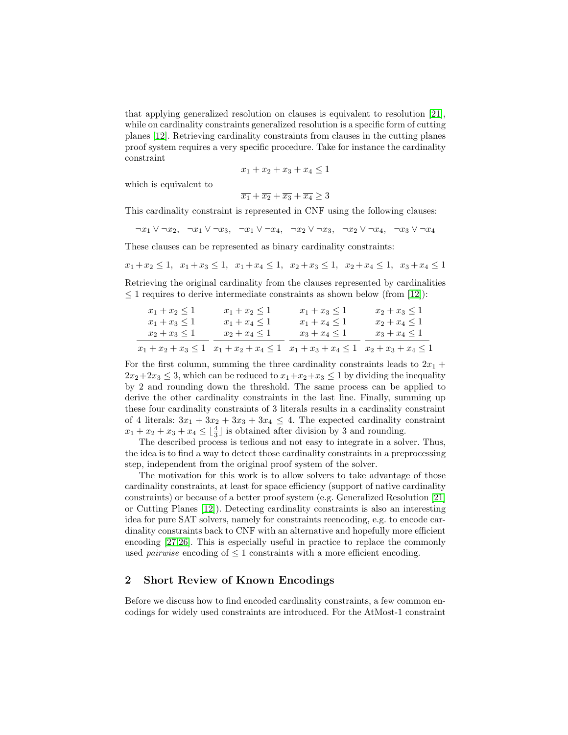that applying generalized resolution on clauses is equivalent to resolution [21], while on cardinality constraints generalized resolution is a specific form of cutting planes [12]. Retrieving cardinality constraints from clauses in the cutting planes proof system requires a very specific procedure. Take for instance the cardinality constraint

$$
x_1 + x_2 + x_3 + x_4 \le 1
$$

which is equivalent to

 $\overline{x_1} + \overline{x_2} + \overline{x_3} + \overline{x_4} > 3$ 

This cardinality constraint is represented in CNF using the following clauses:

 $\neg x_1 \vee \neg x_2, \neg x_1 \vee \neg x_3, \neg x_1 \vee \neg x_4, \neg x_2 \vee \neg x_3, \neg x_2 \vee \neg x_4, \neg x_3 \vee \neg x_4$ 

These clauses can be represented as binary cardinality constraints:

$$
x_1 + x_2 \le 1
$$
,  $x_1 + x_3 \le 1$ ,  $x_1 + x_4 \le 1$ ,  $x_2 + x_3 \le 1$ ,  $x_2 + x_4 \le 1$ ,  $x_3 + x_4 \le 1$ 

Retrieving the original cardinality from the clauses represented by cardinalities  $\leq$  1 requires to derive intermediate constraints as shown below (from [12]):

| $x_1 + x_2 \leq 1$       | $x_1 + x_2 \leq 1$ | $x_1 + x_3 \leq 1$                                                         | $x_2 + x_3 \leq 1$ |
|--------------------------|--------------------|----------------------------------------------------------------------------|--------------------|
| $x_1 + x_3 \leq 1$       | $x_1 + x_4 \leq 1$ | $x_1 + x_4 \leq 1$                                                         | $x_2 + x_4 \leq 1$ |
| $x_2 + x_3 \leq 1$       | $x_2 + x_4 \leq 1$ | $x_3 + x_4 \leq 1$                                                         | $x_3 + x_4 \leq 1$ |
| $x_1 + x_2 + x_3 \leq 1$ |                    | $x_1 + x_2 + x_4 \leq 1$ $x_1 + x_3 + x_4 \leq 1$ $x_2 + x_3 + x_4 \leq 1$ |                    |

For the first column, summing the three cardinality constraints leads to  $2x_1 +$  $2x_2+2x_3 \leq 3$ , which can be reduced to  $x_1+x_2+x_3 \leq 1$  by dividing the inequality by 2 and rounding down the threshold. The same process can be applied to derive the other cardinality constraints in the last line. Finally, summing up these four cardinality constraints of 3 literals results in a cardinality constraint of 4 literals:  $3x_1 + 3x_2 + 3x_3 + 3x_4 \leq 4$ . The expected cardinality constraint  $x_1 + x_2 + x_3 + x_4 \leq \lfloor \frac{4}{3} \rfloor$  is obtained after division by 3 and rounding.

The described process is tedious and not easy to integrate in a solver. Thus, the idea is to find a way to detect those cardinality constraints in a preprocessing step, independent from the original proof system of the solver.

The motivation for this work is to allow solvers to take advantage of those cardinality constraints, at least for space efficiency (support of native cardinality constraints) or because of a better proof system (e.g. Generalized Resolution [21] or Cutting Planes [12]). Detecting cardinality constraints is also an interesting idea for pure SAT solvers, namely for constraints reencoding, e.g. to encode cardinality constraints back to CNF with an alternative and hopefully more efficient encoding [27,26]. This is especially useful in practice to replace the commonly used *pairwise* encoding of  $\leq 1$  constraints with a more efficient encoding.

## 2 Short Review of Known Encodings

Before we discuss how to find encoded cardinality constraints, a few common encodings for widely used constraints are introduced. For the AtMost-1 constraint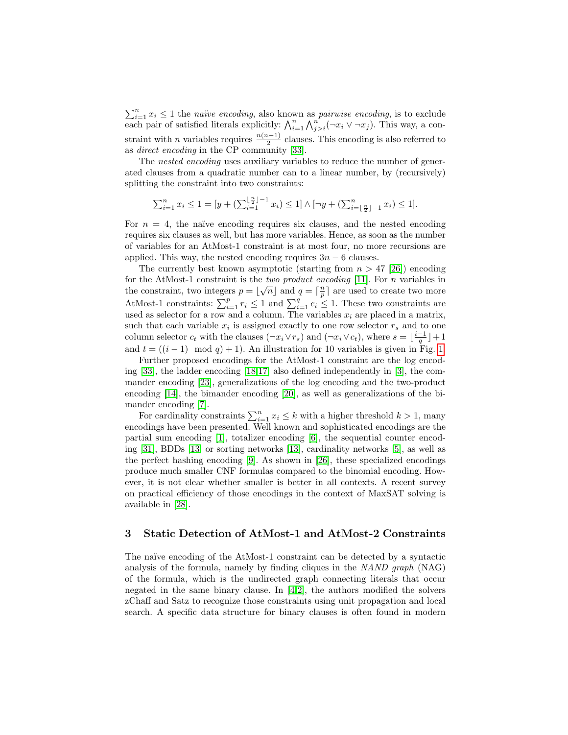$\sum_{i=1}^{n} x_i \leq 1$  the *naïve encoding*, also known as *pairwise encoding*, is to exclude each pair of satisfied literals explicitly:  $\bigwedge_{i=1}^{n} \bigwedge_{j>i}^{n} (\neg x_i \vee \neg x_j)$ . This way, a constraint with *n* variables requires  $\frac{n(n-1)}{2}$  clauses. This encoding is also referred to as direct encoding in the CP community [33].

The *nested encoding* uses auxiliary variables to reduce the number of generated clauses from a quadratic number can to a linear number, by (recursively) splitting the constraint into two constraints:

$$
\sum_{i=1}^{n} x_i \le 1 = [y + (\sum_{i=1}^{\lfloor \frac{n}{2} \rfloor - 1} x_i) \le 1] \wedge [\neg y + (\sum_{i=\lfloor \frac{n}{2} \rfloor - 1}^{n} x_i) \le 1].
$$

For  $n = 4$ , the naïve encoding requires six clauses, and the nested encoding requires six clauses as well, but has more variables. Hence, as soon as the number of variables for an AtMost-1 constraint is at most four, no more recursions are applied. This way, the nested encoding requires  $3n - 6$  clauses.

The currently best known asymptotic (starting from  $n > 47$  [26]) encoding for the AtMost-1 constraint is the *two product encoding* [11]. For *n* variables in the constraint, two integers  $p = \lfloor \sqrt{n} \rfloor$  and  $q = \lceil \frac{n}{p} \rceil$  are used to create two more AtMost-1 constraints:  $\sum_{i=1}^{p} r_i \leq 1$  and  $\sum_{i=1}^{q} c_i \leq 1$ . These two constraints are used as selector for a row and a column. The variables  $x_i$  are placed in a matrix, such that each variable  $x_i$  is assigned exactly to one row selector  $r_s$  and to one column selector  $c_t$  with the clauses  $(\neg x_i \lor r_s)$  and  $(\neg x_i \lor c_t)$ , where  $s = \lfloor \frac{i-1}{q} \rfloor + 1$ and  $t = ((i - 1) \mod q) + 1$ . An illustration for 10 variables is given in Fig. 1.

Further proposed encodings for the AtMost-1 constraint are the log encoding [33], the ladder encoding [18,17] also defined independently in [3], the commander encoding [23], generalizations of the log encoding and the two-product encoding [14], the bimander encoding [20], as well as generalizations of the bimander encoding [7].

For cardinality constraints  $\sum_{i=1}^{n} x_i \leq k$  with a higher threshold  $k > 1$ , many encodings have been presented. Well known and sophisticated encodings are the partial sum encoding [1], totalizer encoding [6], the sequential counter encoding [31], BDDs [13] or sorting networks [13], cardinality networks [5], as well as the perfect hashing encoding [9]. As shown in [26], these specialized encodings produce much smaller CNF formulas compared to the binomial encoding. However, it is not clear whether smaller is better in all contexts. A recent survey on practical efficiency of those encodings in the context of MaxSAT solving is available in [28].

## 3 Static Detection of AtMost-1 and AtMost-2 Constraints

The naïve encoding of the AtMost-1 constraint can be detected by a syntactic analysis of the formula, namely by finding cliques in the NAND graph (NAG) of the formula, which is the undirected graph connecting literals that occur negated in the same binary clause. In  $[4,2]$ , the authors modified the solvers zChaff and Satz to recognize those constraints using unit propagation and local search. A specific data structure for binary clauses is often found in modern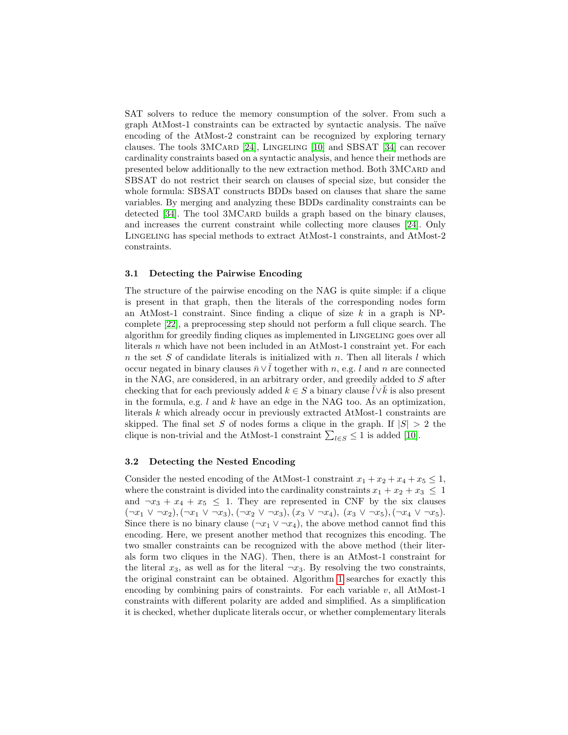SAT solvers to reduce the memory consumption of the solver. From such a graph AtMost-1 constraints can be extracted by syntactic analysis. The na¨ıve encoding of the AtMost-2 constraint can be recognized by exploring ternary clauses. The tools  $3MCARD$  [24], LINGELING [10] and SBSAT [34] can recover cardinality constraints based on a syntactic analysis, and hence their methods are presented below additionally to the new extraction method. Both 3MCARD and SBSAT do not restrict their search on clauses of special size, but consider the whole formula: SBSAT constructs BDDs based on clauses that share the same variables. By merging and analyzing these BDDs cardinality constraints can be detected [34]. The tool 3MCARD builds a graph based on the binary clauses, and increases the current constraint while collecting more clauses [24]. Only Lingeling has special methods to extract AtMost-1 constraints, and AtMost-2 constraints.

#### 3.1 Detecting the Pairwise Encoding

The structure of the pairwise encoding on the NAG is quite simple: if a clique is present in that graph, then the literals of the corresponding nodes form an AtMost-1 constraint. Since finding a clique of size  $k$  in a graph is NPcomplete [22], a preprocessing step should not perform a full clique search. The algorithm for greedily finding cliques as implemented in Lingeling goes over all literals n which have not been included in an AtMost-1 constraint yet. For each n the set S of candidate literals is initialized with n. Then all literals  $l$  which occur negated in binary clauses  $\bar{n} \vee \bar{l}$  together with n, e.g. l and n are connected in the NAG, are considered, in an arbitrary order, and greedily added to S after checking that for each previously added  $k \in S$  a binary clause  $l \vee k$  is also present in the formula, e.g.  $l$  and  $k$  have an edge in the NAG too. As an optimization, literals k which already occur in previously extracted AtMost-1 constraints are skipped. The final set S of nodes forms a clique in the graph. If  $|S| > 2$  the clique is non-trivial and the AtMost-1 constraint  $\sum_{l\in S} \leq 1$  is added [10].

#### 3.2 Detecting the Nested Encoding

Consider the nested encoding of the AtMost-1 constraint  $x_1 + x_2 + x_4 + x_5 \leq 1$ , where the constraint is divided into the cardinality constraints  $x_1 + x_2 + x_3 \leq 1$ and  $\neg x_3 + x_4 + x_5 \leq 1$ . They are represented in CNF by the six clauses  $(\neg x_1 \lor \neg x_2), (\neg x_1 \lor \neg x_3), (\neg x_2 \lor \neg x_3), (x_3 \lor \neg x_4), (x_3 \lor \neg x_5), (\neg x_4 \lor \neg x_5).$ Since there is no binary clause ( $\neg x_1 \vee \neg x_4$ ), the above method cannot find this encoding. Here, we present another method that recognizes this encoding. The two smaller constraints can be recognized with the above method (their literals form two cliques in the NAG). Then, there is an AtMost-1 constraint for the literal  $x_3$ , as well as for the literal  $\neg x_3$ . By resolving the two constraints, the original constraint can be obtained. Algorithm 1 searches for exactly this encoding by combining pairs of constraints. For each variable  $v$ , all AtMost-1 constraints with different polarity are added and simplified. As a simplification it is checked, whether duplicate literals occur, or whether complementary literals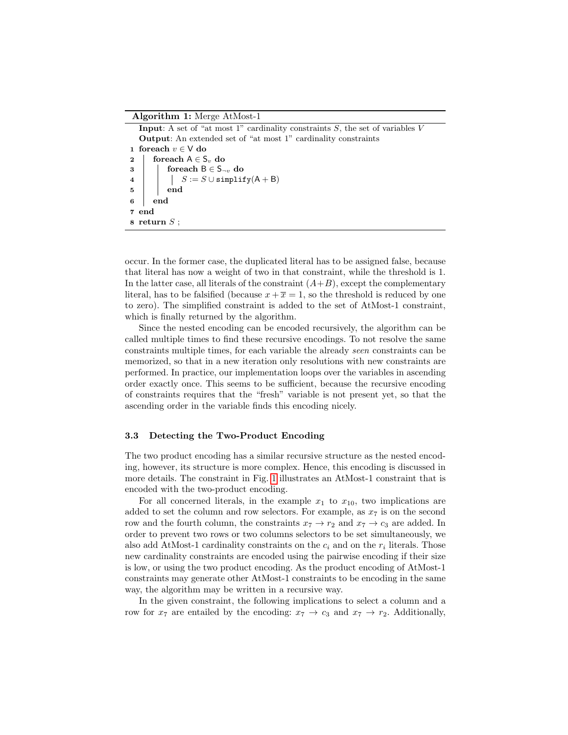#### Algorithm 1: Merge AtMost-1

|                           | <b>Input:</b> A set of "at most 1" cardinality constraints $S$ , the set of variables V                                                                                                                             |  |  |  |  |  |
|---------------------------|---------------------------------------------------------------------------------------------------------------------------------------------------------------------------------------------------------------------|--|--|--|--|--|
|                           | <b>Output:</b> An extended set of "at most 1" cardinality constraints                                                                                                                                               |  |  |  |  |  |
|                           | 1 foreach $v \in V$ do                                                                                                                                                                                              |  |  |  |  |  |
|                           | 2   foreach $A \in S_n$ do                                                                                                                                                                                          |  |  |  |  |  |
|                           |                                                                                                                                                                                                                     |  |  |  |  |  |
|                           |                                                                                                                                                                                                                     |  |  |  |  |  |
|                           | 3<br>4<br>$\begin{array}{ c c c } \hline \text{1} & \text{for each } B \in \mathsf{S}_{\neg v} \text{ do} \ \hline \text{1} & S := S \cup \text{simplify}(A + B) \ \hline \text{1} & \text{end} \hline \end{array}$ |  |  |  |  |  |
| $\bf{6}$                  | end                                                                                                                                                                                                                 |  |  |  |  |  |
| 7 end                     |                                                                                                                                                                                                                     |  |  |  |  |  |
| $\mathbf{s}$ return $S$ : |                                                                                                                                                                                                                     |  |  |  |  |  |

occur. In the former case, the duplicated literal has to be assigned false, because that literal has now a weight of two in that constraint, while the threshold is 1. In the latter case, all literals of the constraint  $(A+B)$ , except the complementary literal, has to be falsified (because  $x + \overline{x} = 1$ , so the threshold is reduced by one to zero). The simplified constraint is added to the set of AtMost-1 constraint, which is finally returned by the algorithm.

Since the nested encoding can be encoded recursively, the algorithm can be called multiple times to find these recursive encodings. To not resolve the same constraints multiple times, for each variable the already seen constraints can be memorized, so that in a new iteration only resolutions with new constraints are performed. In practice, our implementation loops over the variables in ascending order exactly once. This seems to be sufficient, because the recursive encoding of constraints requires that the "fresh" variable is not present yet, so that the ascending order in the variable finds this encoding nicely.

#### 3.3 Detecting the Two-Product Encoding

The two product encoding has a similar recursive structure as the nested encoding, however, its structure is more complex. Hence, this encoding is discussed in more details. The constraint in Fig. 1 illustrates an AtMost-1 constraint that is encoded with the two-product encoding.

For all concerned literals, in the example  $x_1$  to  $x_{10}$ , two implications are added to set the column and row selectors. For example, as  $x_7$  is on the second row and the fourth column, the constraints  $x_7 \rightarrow r_2$  and  $x_7 \rightarrow c_3$  are added. In order to prevent two rows or two columns selectors to be set simultaneously, we also add AtMost-1 cardinality constraints on the  $c_i$  and on the  $r_i$  literals. Those new cardinality constraints are encoded using the pairwise encoding if their size is low, or using the two product encoding. As the product encoding of AtMost-1 constraints may generate other AtMost-1 constraints to be encoding in the same way, the algorithm may be written in a recursive way.

In the given constraint, the following implications to select a column and a row for  $x_7$  are entailed by the encoding:  $x_7 \rightarrow c_3$  and  $x_7 \rightarrow r_2$ . Additionally,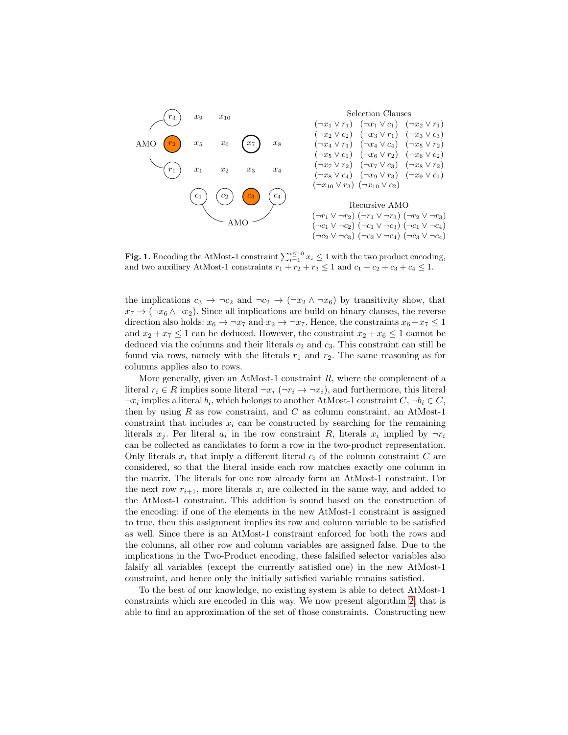

**Fig. 1.** Encoding the AtMost-1 constraint  $\sum_{i=1}^{i \leq 10} x_i \leq 1$  with the two product encoding, and two auxiliary AtMost-1 constraints  $r_1 + r_2 + r_3 \leq 1$  and  $c_1 + c_2 + c_3 + c_4 \leq 1$ .

the implications  $c_3 \rightarrow \neg c_2$  and  $\neg c_2 \rightarrow (\neg x_2 \land \neg x_6)$  by transitivity show, that  $x_7 \rightarrow (\neg x_6 \land \neg x_2)$ . Since all implications are build on binary clauses, the reverse direction also holds:  $x_6 \to \neg x_7$  and  $x_2 \to \neg x_7$ . Hence, the constraints  $x_6 + x_7 \leq 1$ and  $x_2 + x_7 \leq 1$  can be deduced. However, the constraint  $x_2 + x_6 \leq 1$  cannot be deduced via the columns and their literals  $c_2$  and  $c_3$ . This constraint can still be found via rows, namely with the literals  $r_1$  and  $r_2$ . The same reasoning as for columns applies also to rows.

More generally, given an AtMost-1 constraint  $R$ , where the complement of a literal  $r_i \in R$  implies some literal  $\neg x_i (\neg r_i \rightarrow \neg x_i)$ , and furthermore, this literal  $\neg x_i$  implies a literal  $b_i$ , which belongs to another AtMost-1 constraint  $C, \neg b_i \in C$ , then by using  $R$  as row constraint, and  $C$  as column constraint, an AtMost-1 constraint that includes  $x_i$  can be constructed by searching for the remaining literals  $x_j$ . Per literal  $a_i$  in the row constraint R, literals  $x_i$  implied by  $\neg r_i$ can be collected as candidates to form a row in the two-product representation. Only literals  $x_i$  that imply a different literal  $c_i$  of the column constraint  $C$  are considered, so that the literal inside each row matches exactly one column in the matrix. The literals for one row already form an AtMost-1 constraint. For the next row  $r_{i+1}$ , more literals  $x_i$  are collected in the same way, and added to the AtMost-1 constraint. This addition is sound based on the construction of the encoding: if one of the elements in the new AtMost-1 constraint is assigned to true, then this assignment implies its row and column variable to be satisfied as well. Since there is an AtMost-1 constraint enforced for both the rows and the columns, all other row and column variables are assigned false. Due to the implications in the Two-Product encoding, these falsified selector variables also falsify all variables (except the currently satisfied one) in the new AtMost-1 constraint, and hence only the initially satisfied variable remains satisfied.

To the best of our knowledge, no existing system is able to detect AtMost-1 constraints which are encoded in this way. We now present algorithm 2, that is able to find an approximation of the set of those constraints. Constructing new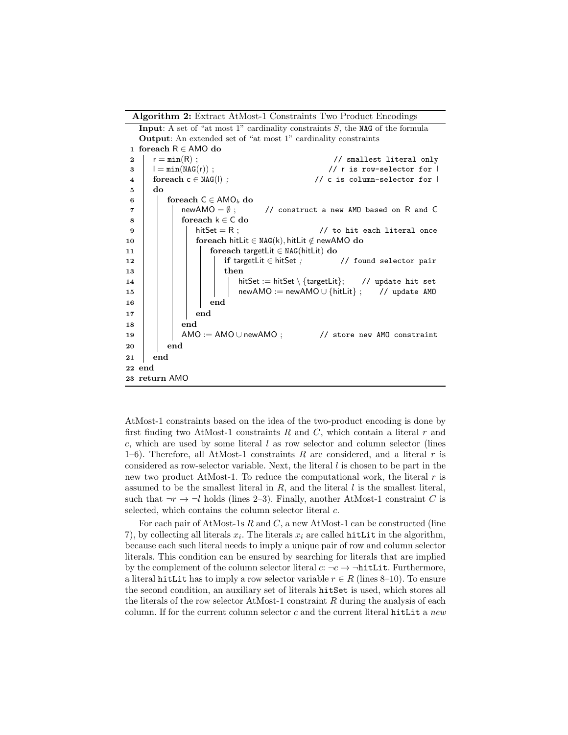Algorithm 2: Extract AtMost-1 Constraints Two Product Encodings

**Input:** A set of "at most 1" cardinality constraints  $S$ , the NAG of the formula Output: An extended set of "at most 1" cardinality constraints 1 foreach R ∈ AMO do  $2 \mid r = min(R)$ ; // smallest literal only 3 l = min(NAG(r)) ; // r is row-selector for l  $4 \mid$  foreach c  $\in$  NAG(1);  $\qquad \qquad \qquad \text{/}$  c is column-selector for l  $5 \mid$  do 6 | foreach  $C \in AMO_b$  do  $7$  | | newAMO =  $\emptyset$ ; // construct a new AMO based on R and C  $8 \mid \cdot \cdot \cdot \cdot \cdot \cdot \cdot$  for each  $k \in C$  do 9  $\vert$   $\vert$   $\vert$  hitSet = R ;  $\vert$  // to hit each literal once 10  $\vert$  foreach hitLit  $\in$  NAG(k), hitLit  $\notin$  newAMO do 11 | | | foreach targetLit ∈ NAG(hitLit) do 12 | | | | | | if targetLit ∈ hitSet ; // found selector pair 13 | | | | | | then 14  $\vert$   $\vert$   $\vert$   $\vert$   $\vert$   $\vert$  hitSet := hitSet \{targetLit}; // update hit set 15 | | | | | | newAMO := newAMO ∪ {hitLit} ; // update AMO 16 | | | | | end  $17 \mid \cdot \cdot \cdot \cdot \cdot$  end  $18$  | | | end  $19$  AMO := AMO ∪ newAMO ; // store new AMO constraint  $20$  | end 21 end 22 end 23 return AMO

AtMost-1 constraints based on the idea of the two-product encoding is done by first finding two AtMost-1 constraints  $R$  and  $C$ , which contain a literal  $r$  and  $c$ , which are used by some literal  $l$  as row selector and column selector (lines 1–6). Therefore, all AtMost-1 constraints  $R$  are considered, and a literal  $r$  is considered as row-selector variable. Next, the literal  $l$  is chosen to be part in the new two product AtMost-1. To reduce the computational work, the literal  $r$  is assumed to be the smallest literal in  $R$ , and the literal  $l$  is the smallest literal, such that  $\neg r \rightarrow \neg l$  holds (lines 2–3). Finally, another AtMost-1 constraint C is selected, which contains the column selector literal  $c$ .

For each pair of AtMost-1s  $R$  and  $C$ , a new AtMost-1 can be constructed (line 7), by collecting all literals  $x_i$ . The literals  $x_i$  are called **hitLit** in the algorithm, because each such literal needs to imply a unique pair of row and column selector literals. This condition can be ensured by searching for literals that are implied by the complement of the column selector literal  $c: \neg c \rightarrow \neg \text{hitLit}.$  Furthermore, a literal hitLit has to imply a row selector variable  $r \in R$  (lines 8–10). To ensure the second condition, an auxiliary set of literals hitSet is used, which stores all the literals of the row selector AtMost-1 constraint  $R$  during the analysis of each column. If for the current column selector  $c$  and the current literal hitLit a new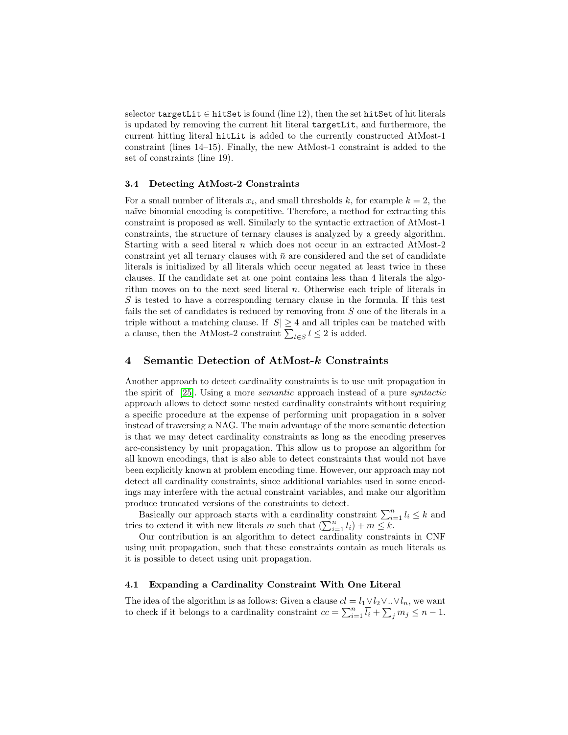selector targetLit  $\in$  hitSet is found (line 12), then the set hitSet of hit literals is updated by removing the current hit literal targetLit, and furthermore, the current hitting literal hitLit is added to the currently constructed AtMost-1 constraint (lines 14–15). Finally, the new AtMost-1 constraint is added to the set of constraints (line 19).

#### 3.4 Detecting AtMost-2 Constraints

For a small number of literals  $x_i$ , and small thresholds k, for example  $k = 2$ , the naïve binomial encoding is competitive. Therefore, a method for extracting this constraint is proposed as well. Similarly to the syntactic extraction of AtMost-1 constraints, the structure of ternary clauses is analyzed by a greedy algorithm. Starting with a seed literal  $n$  which does not occur in an extracted AtMost-2 constraint yet all ternary clauses with  $\bar{n}$  are considered and the set of candidate literals is initialized by all literals which occur negated at least twice in these clauses. If the candidate set at one point contains less than 4 literals the algorithm moves on to the next seed literal  $n$ . Otherwise each triple of literals in S is tested to have a corresponding ternary clause in the formula. If this test fails the set of candidates is reduced by removing from S one of the literals in a triple without a matching clause. If  $|S| \geq 4$  and all triples can be matched with a clause, then the AtMost-2 constraint  $\sum_{l \in S} l \leq 2$  is added.

## 4 Semantic Detection of AtMost-k Constraints

Another approach to detect cardinality constraints is to use unit propagation in the spirit of [25]. Using a more semantic approach instead of a pure syntactic approach allows to detect some nested cardinality constraints without requiring a specific procedure at the expense of performing unit propagation in a solver instead of traversing a NAG. The main advantage of the more semantic detection is that we may detect cardinality constraints as long as the encoding preserves arc-consistency by unit propagation. This allow us to propose an algorithm for all known encodings, that is also able to detect constraints that would not have been explicitly known at problem encoding time. However, our approach may not detect all cardinality constraints, since additional variables used in some encodings may interfere with the actual constraint variables, and make our algorithm produce truncated versions of the constraints to detect.

Basically our approach starts with a cardinality constraint  $\sum_{i=1}^{n} l_i \leq k$  and tries to extend it with new literals m such that  $\left(\sum_{i=1}^n l_i\right) + m \leq k$ .

Our contribution is an algorithm to detect cardinality constraints in CNF using unit propagation, such that these constraints contain as much literals as it is possible to detect using unit propagation.

#### 4.1 Expanding a Cardinality Constraint With One Literal

The idea of the algorithm is as follows: Given a clause  $cl = l_1 \vee l_2 \vee \dots \vee l_n$ , we want to check if it belongs to a cardinality constraint  $cc = \sum_{i=1}^{n} \overline{l_i} + \sum_j m_j \leq n-1$ .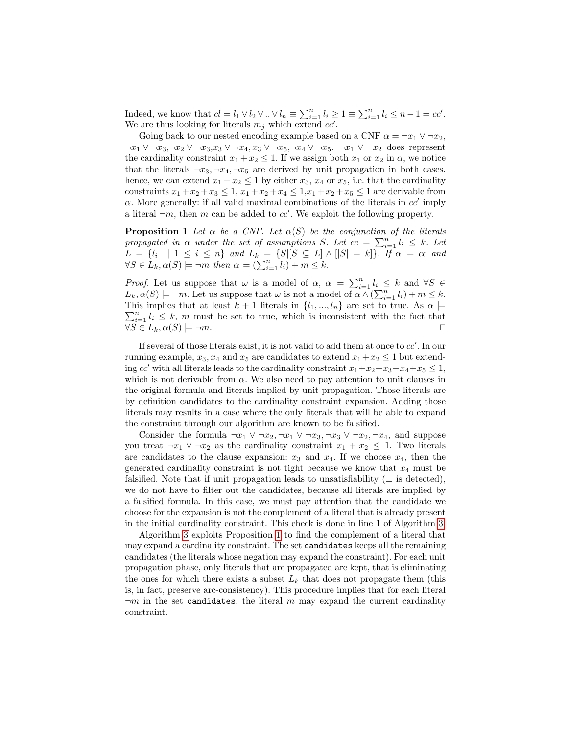Indeed, we know that  $cl = l_1 \vee l_2 \vee \ldots \vee l_n \equiv \sum_{i=1}^n l_i \geq 1 \equiv \sum_{i=1}^n \overline{l_i} \leq n-1 = cc'.$ We are thus looking for literals  $m_j$  which extend  $cc'$ .

Going back to our nested encoding example based on a CNF  $\alpha = \neg x_1 \lor \neg x_2$ ,  $\neg x_1 \lor \neg x_3, \neg x_2 \lor \neg x_3, x_3 \lor \neg x_4, x_3 \lor \neg x_5, \neg x_4 \lor \neg x_5$ .  $\neg x_1 \lor \neg x_2$  does represent the cardinality constraint  $x_1 + x_2 \leq 1$ . If we assign both  $x_1$  or  $x_2$  in  $\alpha$ , we notice that the literals  $\neg x_3, \neg x_4, \neg x_5$  are derived by unit propagation in both cases. hence, we can extend  $x_1 + x_2 \leq 1$  by either  $x_3, x_4$  or  $x_5$ , i.e. that the cardinality constraints  $x_1 + x_2 + x_3 \le 1$ ,  $x_1 + x_2 + x_4 \le 1$ ,  $x_1 + x_2 + x_5 \le 1$  are derivable from  $\alpha$ . More generally: if all valid maximal combinations of the literals in  $cc'$  imply a literal  $\neg m$ , then m can be added to  $cc'$ . We exploit the following property.

**Proposition 1** Let  $\alpha$  be a CNF. Let  $\alpha(S)$  be the conjunction of the literals propagated in  $\alpha$  under the set of assumptions S. Let  $cc = \sum_{i=1}^{n} l_i \leq k$ . Let  $L = \{l_i \mid 1 \leq i \leq n\}$  and  $L_k = \{S | [S \subseteq L] \wedge [|S| = k]\}$ . If  $\alpha \models cc$  and  $\forall S \in L_k, \alpha(S) \models \neg m \ then \ \alpha \models (\sum_{i=1}^n l_i) + m \leq k.$ 

*Proof.* Let us suppose that  $\omega$  is a model of  $\alpha$ ,  $\alpha \models \sum_{i=1}^{n} l_i \leq k$  and  $\forall S \in$  $L_k, \alpha(S) \models \neg m$ . Let us suppose that  $\omega$  is not a model of  $\alpha \wedge (\sum_{i=1}^n l_i) + m \leq k$ .  $\sum_{i=1}^{n} l_i \leq k$ , m must be set to true, which is inconsistent with the fact that This implies that at least  $k + 1$  literals in  $\{l_1, ..., l_n\}$  are set to true. As  $\alpha \models$  $\forall S \in L_k, \alpha(S) \models \neg m.$ 

If several of those literals exist, it is not valid to add them at once to  $cc'$ . In our running example,  $x_3, x_4$  and  $x_5$  are candidates to extend  $x_1+x_2 \leq 1$  but extending cc' with all literals leads to the cardinality constraint  $x_1+x_2+x_3+x_4+x_5 \leq 1$ , which is not derivable from  $\alpha$ . We also need to pay attention to unit clauses in the original formula and literals implied by unit propagation. Those literals are by definition candidates to the cardinality constraint expansion. Adding those literals may results in a case where the only literals that will be able to expand the constraint through our algorithm are known to be falsified.

Consider the formula  $\neg x_1 \lor \neg x_2, \neg x_1 \lor \neg x_3, \neg x_3 \lor \neg x_2, \neg x_4$ , and suppose you treat  $\neg x_1 \lor \neg x_2$  as the cardinality constraint  $x_1 + x_2 \leq 1$ . Two literals are candidates to the clause expansion:  $x_3$  and  $x_4$ . If we choose  $x_4$ , then the generated cardinality constraint is not tight because we know that  $x_4$  must be falsified. Note that if unit propagation leads to unsatisfiability  $(\perp$  is detected), we do not have to filter out the candidates, because all literals are implied by a falsified formula. In this case, we must pay attention that the candidate we choose for the expansion is not the complement of a literal that is already present in the initial cardinality constraint. This check is done in line 1 of Algorithm 3.

Algorithm 3 exploits Proposition 1 to find the complement of a literal that may expand a cardinality constraint. The set candidates keeps all the remaining candidates (the literals whose negation may expand the constraint). For each unit propagation phase, only literals that are propagated are kept, that is eliminating the ones for which there exists a subset  $L_k$  that does not propagate them (this is, in fact, preserve arc-consistency). This procedure implies that for each literal  $\neg m$  in the set candidates, the literal m may expand the current cardinality constraint.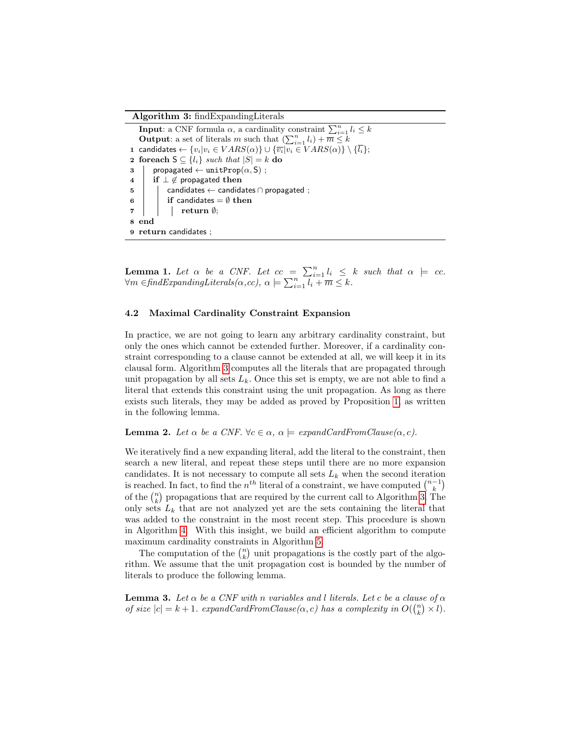#### Algorithm 3: findExpandingLiterals

**Input:** a CNF formula  $\alpha$ , a cardinality constraint  $\sum_{i=1}^{n} l_i \leq k$ **Output:** a set of literals m such that  $\left(\sum_{i=1}^n l_i\right) + \overline{m} \leq k$ 1 candidates ←  $\{v_i|v_i \in VARS(\alpha)\} \cup \{\overline{v_i}|v_i \in VARS(\alpha)\} \setminus \{\overline{l_i}\};$ 2 foreach  $S \subseteq \{l_i\}$  such that  $|S| = k$  do  $\mathsf{3}$  | propagated ← unitProp $(\alpha, \mathsf{S})$ ; 4 | if  $\perp \notin$  propagated then  $\mathbf{5}$  | candidates ← candidates  $\cap$  propagated ; 6 | if candidates  $=\emptyset$  then  $7 \mid \cdot \mid \cdot$  return  $\emptyset$ ; 8 end 9 return candidates ;

**Lemma 1.** Let  $\alpha$  be a CNF. Let  $cc = \sum_{i=1}^{n} l_i \leq k$  such that  $\alpha \models cc$ .  $\forall m \in \text{findExpanding Literals}(\alpha, cc), \ \alpha \models \sum_{i=1}^{n} \overline{l_i + m} \leq k.$ 

#### 4.2 Maximal Cardinality Constraint Expansion

In practice, we are not going to learn any arbitrary cardinality constraint, but only the ones which cannot be extended further. Moreover, if a cardinality constraint corresponding to a clause cannot be extended at all, we will keep it in its clausal form. Algorithm 3 computes all the literals that are propagated through unit propagation by all sets  $L_k$ . Once this set is empty, we are not able to find a literal that extends this constraint using the unit propagation. As long as there exists such literals, they may be added as proved by Proposition 1, as written in the following lemma.

#### **Lemma 2.** Let  $\alpha$  be a CNF.  $\forall c \in \alpha$ ,  $\alpha \models \text{expandCardFromClause}(\alpha, c)$ .

We iteratively find a new expanding literal, add the literal to the constraint, then search a new literal, and repeat these steps until there are no more expansion candidates. It is not necessary to compute all sets  $L_k$  when the second iteration is reached. In fact, to find the  $n^{th}$  literal of a constraint, we have computed  $\binom{n-1}{k}$ of the  $\binom{n}{k}$  propagations that are required by the current call to Algorithm 3. The only sets  $L_k$  that are not analyzed yet are the sets containing the literal that was added to the constraint in the most recent step. This procedure is shown in Algorithm 4. With this insight, we build an efficient algorithm to compute maximum cardinality constraints in Algorithm 5.

The computation of the  $\binom{n}{k}$  unit propagations is the costly part of the algorithm. We assume that the unit propagation cost is bounded by the number of literals to produce the following lemma.

**Lemma 3.** Let  $\alpha$  be a CNF with n variables and l literals. Let c be a clause of  $\alpha$ of size  $|c| = k + 1$ . expandCardFromClause( $\alpha, c$ ) has a complexity in  $O(\binom{n}{k} \times l)$ .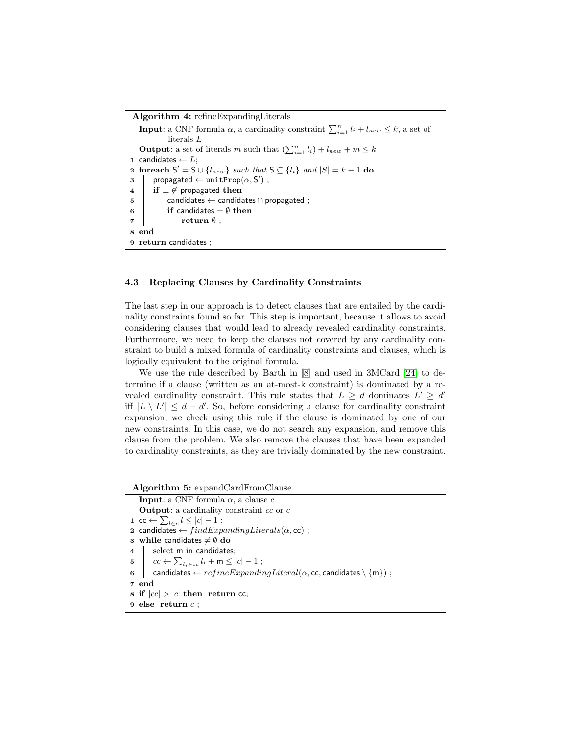#### Algorithm 4: refineExpandingLiterals

**Input**: a CNF formula  $\alpha$ , a cardinality constraint  $\sum_{i=1}^{n} l_i + l_{new} \leq k$ , a set of literals L **Output**: a set of literals m such that  $\left(\sum_{i=1}^{n} l_i\right) + l_{new} + \overline{m} \leq k$ 1 candidates  $\leftarrow L$ ; 2 foreach  $S' = S \cup \{l_{new}\}\$  such that  $S \subseteq \{l_i\}\$  and  $|S| = k - 1$  do  $\begin{array}{ll} \texttt{3} & | & \textsf{propagated} \leftarrow \texttt{unitProp}(\alpha,\mathsf{S}') \end{array};$ 4  $\vert$  if  $\bot \notin$  propagated then  $\begin{array}{c|c} 5 & \end{array}$  candidates  $\leftarrow$  candidates  $\cap$  propagated ; 6 if candidates  $=$   $\emptyset$  then  $7 \mid \cdot \cdot \cdot \cdot \cdot \cdot \cdot \cdot$ 8 end 9 return candidates ;

#### 4.3 Replacing Clauses by Cardinality Constraints

The last step in our approach is to detect clauses that are entailed by the cardinality constraints found so far. This step is important, because it allows to avoid considering clauses that would lead to already revealed cardinality constraints. Furthermore, we need to keep the clauses not covered by any cardinality constraint to build a mixed formula of cardinality constraints and clauses, which is logically equivalent to the original formula.

We use the rule described by Barth in [8] and used in 3MCard [24] to determine if a clause (written as an at-most-k constraint) is dominated by a revealed cardinality constraint. This rule states that  $L \geq d$  dominates  $L' \geq d'$ iff  $|L \setminus L'| \leq d - d'$ . So, before considering a clause for cardinality constraint expansion, we check using this rule if the clause is dominated by one of our new constraints. In this case, we do not search any expansion, and remove this clause from the problem. We also remove the clauses that have been expanded to cardinality constraints, as they are trivially dominated by the new constraint.

## Algorithm 5: expandCardFromClause

**Input:** a CNF formula  $\alpha$ , a clause c **Output:** a cardinality constraint  $cc$  or  $c$ 1 cc  $\leftarrow \sum_{l \in c} l \leq |c| - 1$ ; 2 candidates  $\leftarrow findExpanding Literals(\alpha, cc)$ ; 3 while candidates  $\neq \emptyset$  do 4 select m in candidates; 5  $c \leftarrow \sum_{l_i \in cc} l_i + \overline{m} \leq |c| - 1;$ 6 candidates  $\leftarrow refineExpanding Literal(\alpha, cc, candidates \setminus \{m\})$ ; 7 end 8 if  $|cc| > |c|$  then return cc; 9 else return c ;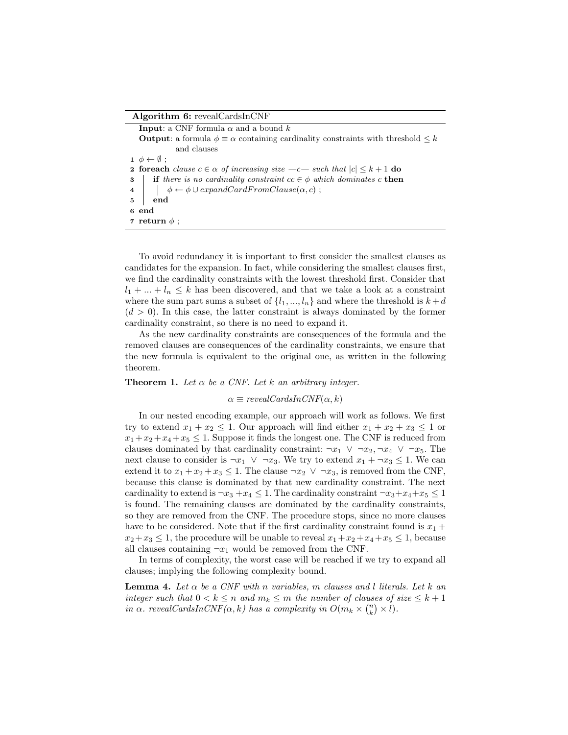#### Algorithm 6: revealCardsInCNF

**Input:** a CNF formula  $\alpha$  and a bound k **Output:** a formula  $\phi \equiv \alpha$  containing cardinality constraints with threshold  $\leq k$ and clauses  $\mathbf{1} \phi \leftarrow \emptyset$ ; **2 foreach** clause  $c \in \alpha$  of increasing size  $-c$  such that  $|c| \leq k+1$  do 3 if there is no cardinality constraint  $cc \in \phi$  which dominates c then 4  $\phi \leftarrow \phi \cup expandCardFromClause(\alpha, c);$  $5 \,$  | end 6 end 7 return  $\phi$  ;

To avoid redundancy it is important to first consider the smallest clauses as candidates for the expansion. In fact, while considering the smallest clauses first, we find the cardinality constraints with the lowest threshold first. Consider that  $l_1 + \ldots + l_n \leq k$  has been discovered, and that we take a look at a constraint where the sum part sums a subset of  $\{l_1, ..., l_n\}$  and where the threshold is  $k + d$  $(d > 0)$ . In this case, the latter constraint is always dominated by the former cardinality constraint, so there is no need to expand it.

As the new cardinality constraints are consequences of the formula and the removed clauses are consequences of the cardinality constraints, we ensure that the new formula is equivalent to the original one, as written in the following theorem.

#### **Theorem 1.** Let  $\alpha$  be a CNF. Let k an arbitrary integer.

 $\alpha \equiv revealCardsInCNF(\alpha, k)$ 

In our nested encoding example, our approach will work as follows. We first try to extend  $x_1 + x_2 \leq 1$ . Our approach will find either  $x_1 + x_2 + x_3 \leq 1$  or  $x_1 + x_2 + x_4 + x_5 \leq 1$ . Suppose it finds the longest one. The CNF is reduced from clauses dominated by that cardinality constraint:  $\neg x_1 \lor \neg x_2, \neg x_4 \lor \neg x_5$ . The next clause to consider is  $\neg x_1 \lor \neg x_3$ . We try to extend  $x_1 + \neg x_3 \leq 1$ . We can extend it to  $x_1 + x_2 + x_3 \leq 1$ . The clause  $\neg x_2 \lor \neg x_3$ , is removed from the CNF, because this clause is dominated by that new cardinality constraint. The next cardinality to extend is  $\neg x_3 + x_4 \leq 1$ . The cardinality constraint  $\neg x_3 + x_4 + x_5 \leq 1$ is found. The remaining clauses are dominated by the cardinality constraints, so they are removed from the CNF. The procedure stops, since no more clauses have to be considered. Note that if the first cardinality constraint found is  $x_1 +$  $x_2+x_3 \leq 1$ , the procedure will be unable to reveal  $x_1+x_2+x_4+x_5 \leq 1$ , because all clauses containing  $\neg x_1$  would be removed from the CNF.

In terms of complexity, the worst case will be reached if we try to expand all clauses; implying the following complexity bound.

**Lemma 4.** Let  $\alpha$  be a CNF with n variables, m clauses and l literals. Let  $k$  an integer such that  $0 < k \leq n$  and  $m_k \leq m$  the number of clauses of size  $\leq k+1$ in  $\alpha$ . revealCardsInCNF( $\alpha$ , k) has a complexity in  $O(m_k \times {n \choose k} \times l)$ .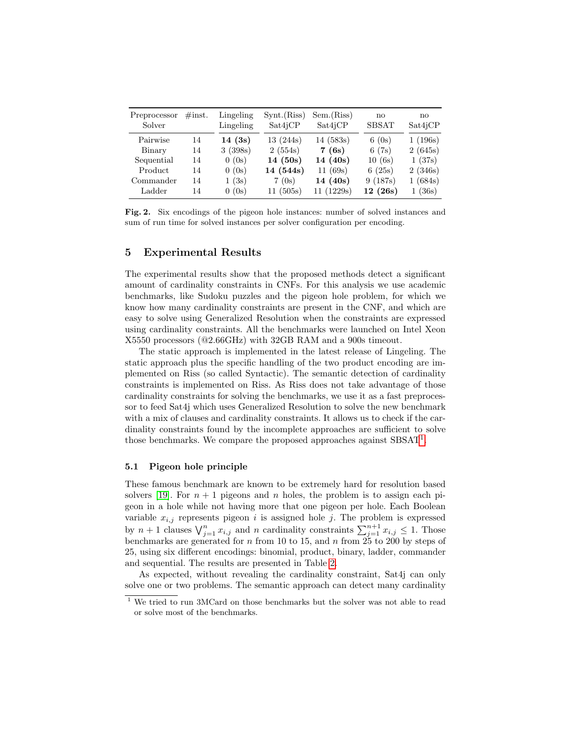| Preprocessor<br>Solver | $\#\text{inst.}$ | Lingeling<br>Lingeling | $S\text{ynt}.$ (Riss)<br>Sat4jCP | Sem.(Riss)<br>Sat4iCP | no<br><b>SBSAT</b> | no<br>Sat4iCP |
|------------------------|------------------|------------------------|----------------------------------|-----------------------|--------------------|---------------|
| Pairwise               | 14               | 14(3s)                 | 13(244s)                         | 14(583s)              | 6(0s)              | 1(196s)       |
| Binary                 | 14               | 3(398s)                | 2(554s)                          | 7(6s)                 | 6(7s)              | 2(645s)       |
| Sequential             | 14               | 0(0s)                  | 14(50s)                          | 14(40s)               | 10(6s)             | 1(37s)        |
| Product                | 14               | 0(0s)                  | 14 (544s)                        | 11(69s)               | 6(25s)             | 2(346s)       |
| Commander              | 14               | 1(3s)                  | 7(0s)                            | 14(40s)               | 9(187s)            | 1(684s)       |
| Ladder                 | 14               | 0(0s)                  | 11(505s)                         | 11(1229s)             | 12(26s)            | 1(36s)        |

Fig. 2. Six encodings of the pigeon hole instances: number of solved instances and sum of run time for solved instances per solver configuration per encoding.

## 5 Experimental Results

The experimental results show that the proposed methods detect a significant amount of cardinality constraints in CNFs. For this analysis we use academic benchmarks, like Sudoku puzzles and the pigeon hole problem, for which we know how many cardinality constraints are present in the CNF, and which are easy to solve using Generalized Resolution when the constraints are expressed using cardinality constraints. All the benchmarks were launched on Intel Xeon X5550 processors (@2.66GHz) with 32GB RAM and a 900s timeout.

The static approach is implemented in the latest release of Lingeling. The static approach plus the specific handling of the two product encoding are implemented on Riss (so called Syntactic). The semantic detection of cardinality constraints is implemented on Riss. As Riss does not take advantage of those cardinality constraints for solving the benchmarks, we use it as a fast preprocessor to feed Sat4j which uses Generalized Resolution to solve the new benchmark with a mix of clauses and cardinality constraints. It allows us to check if the cardinality constraints found by the incomplete approaches are sufficient to solve those benchmarks. We compare the proposed approaches against SBSAT<sup>1</sup>.

#### 5.1 Pigeon hole principle

These famous benchmark are known to be extremely hard for resolution based solvers [19]. For  $n + 1$  pigeons and n holes, the problem is to assign each pigeon in a hole while not having more that one pigeon per hole. Each Boolean variable  $x_{i,j}$  represents pigeon i is assigned hole j. The problem is expressed by  $n+1$  clauses  $\bigvee_{j=1}^{n} x_{i,j}$  and n cardinality constraints  $\sum_{j=1}^{n+1} x_{i,j} \leq 1$ . Those benchmarks are generated for n from 10 to 15, and n from  $25$  to 200 by steps of 25, using six different encodings: binomial, product, binary, ladder, commander and sequential. The results are presented in Table 2.

As expected, without revealing the cardinality constraint, Sat4j can only solve one or two problems. The semantic approach can detect many cardinality

 $^{\rm 1}$  We tried to run 3MCard on those benchmarks but the solver was not able to read or solve most of the benchmarks.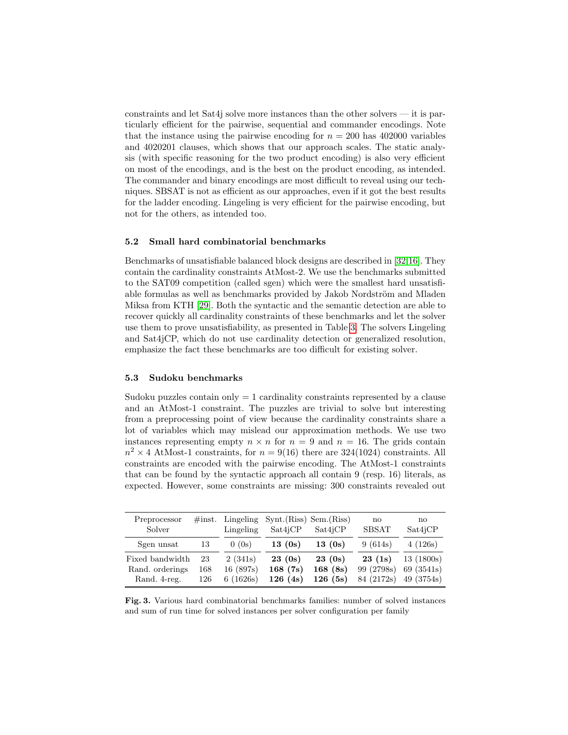constraints and let Sat4j solve more instances than the other solvers  $-$  it is particularly efficient for the pairwise, sequential and commander encodings. Note that the instance using the pairwise encoding for  $n = 200$  has 402000 variables and 4020201 clauses, which shows that our approach scales. The static analysis (with specific reasoning for the two product encoding) is also very efficient on most of the encodings, and is the best on the product encoding, as intended. The commander and binary encodings are most difficult to reveal using our techniques. SBSAT is not as efficient as our approaches, even if it got the best results for the ladder encoding. Lingeling is very efficient for the pairwise encoding, but not for the others, as intended too.

#### 5.2 Small hard combinatorial benchmarks

Benchmarks of unsatisfiable balanced block designs are described in [32,16]. They contain the cardinality constraints AtMost-2. We use the benchmarks submitted to the SAT09 competition (called sgen) which were the smallest hard unsatisfiable formulas as well as benchmarks provided by Jakob Nordström and Mladen Miksa from KTH [29]. Both the syntactic and the semantic detection are able to recover quickly all cardinality constraints of these benchmarks and let the solver use them to prove unsatisfiability, as presented in Table 3. The solvers Lingeling and Sat4jCP, which do not use cardinality detection or generalized resolution, emphasize the fact these benchmarks are too difficult for existing solver.

## 5.3 Sudoku benchmarks

Sudoku puzzles contain only  $= 1$  cardinality constraints represented by a clause and an AtMost-1 constraint. The puzzles are trivial to solve but interesting from a preprocessing point of view because the cardinality constraints share a lot of variables which may mislead our approximation methods. We use two instances representing empty  $n \times n$  for  $n = 9$  and  $n = 16$ . The grids contain  $n^2 \times 4$  AtMost-1 constraints, for  $n = 9(16)$  there are 324(1024) constraints. All constraints are encoded with the pairwise encoding. The AtMost-1 constraints that can be found by the syntactic approach all contain 9 (resp. 16) literals, as expected. However, some constraints are missing: 300 constraints revealed out

| Preprocessor<br>Solver | $\#\text{inst.}$ | Lingeling<br>Lingeling | Synt.(Riss) Sem.(Riss)<br>Sat4 <sub>i</sub> CP | Sat4 <sub>i</sub> CP | $\mathbf{n}$<br><b>SBSAT</b> | no<br>Sat4iCP |
|------------------------|------------------|------------------------|------------------------------------------------|----------------------|------------------------------|---------------|
| Sgen unsat             | 13               | 0(0s)                  | 13(0s)                                         | 13(0s)               | 9(614s)                      | 4(126s)       |
| Fixed bandwidth        | 23               | 2(341s)                | 23(0s)                                         | 23(0s)               | 23(1s)                       | 13(1800s)     |
| Rand. orderings        | 168              | 16(897s)               | 168(7s)                                        | 168(8s)              | 99 (2798s)                   | 69 (3541s)    |
| Rand. 4-reg.           | 126              | 6(1626s)               | 126(4s)                                        | 126(5s)              | 84 (2172s)                   | 49 (3754s)    |

Fig. 3. Various hard combinatorial benchmarks families: number of solved instances and sum of run time for solved instances per solver configuration per family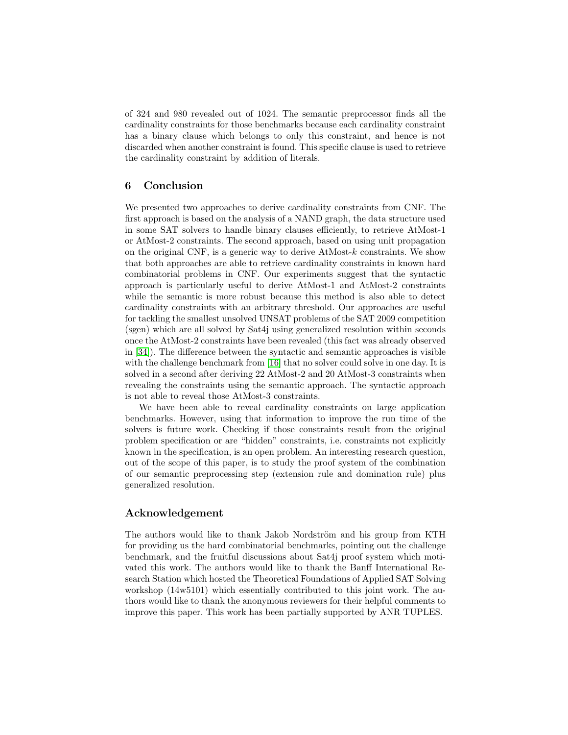of 324 and 980 revealed out of 1024. The semantic preprocessor finds all the cardinality constraints for those benchmarks because each cardinality constraint has a binary clause which belongs to only this constraint, and hence is not discarded when another constraint is found. This specific clause is used to retrieve the cardinality constraint by addition of literals.

## 6 Conclusion

We presented two approaches to derive cardinality constraints from CNF. The first approach is based on the analysis of a NAND graph, the data structure used in some SAT solvers to handle binary clauses efficiently, to retrieve AtMost-1 or AtMost-2 constraints. The second approach, based on using unit propagation on the original CNF, is a generic way to derive AtMost-k constraints. We show that both approaches are able to retrieve cardinality constraints in known hard combinatorial problems in CNF. Our experiments suggest that the syntactic approach is particularly useful to derive AtMost-1 and AtMost-2 constraints while the semantic is more robust because this method is also able to detect cardinality constraints with an arbitrary threshold. Our approaches are useful for tackling the smallest unsolved UNSAT problems of the SAT 2009 competition (sgen) which are all solved by Sat4j using generalized resolution within seconds once the AtMost-2 constraints have been revealed (this fact was already observed in [34]). The difference between the syntactic and semantic approaches is visible with the challenge benchmark from [16] that no solver could solve in one day. It is solved in a second after deriving 22 AtMost-2 and 20 AtMost-3 constraints when revealing the constraints using the semantic approach. The syntactic approach is not able to reveal those AtMost-3 constraints.

We have been able to reveal cardinality constraints on large application benchmarks. However, using that information to improve the run time of the solvers is future work. Checking if those constraints result from the original problem specification or are "hidden" constraints, i.e. constraints not explicitly known in the specification, is an open problem. An interesting research question, out of the scope of this paper, is to study the proof system of the combination of our semantic preprocessing step (extension rule and domination rule) plus generalized resolution.

## Acknowledgement

The authors would like to thank Jakob Nordström and his group from KTH for providing us the hard combinatorial benchmarks, pointing out the challenge benchmark, and the fruitful discussions about Sat4j proof system which motivated this work. The authors would like to thank the Banff International Research Station which hosted the Theoretical Foundations of Applied SAT Solving workshop (14w5101) which essentially contributed to this joint work. The authors would like to thank the anonymous reviewers for their helpful comments to improve this paper. This work has been partially supported by ANR TUPLES.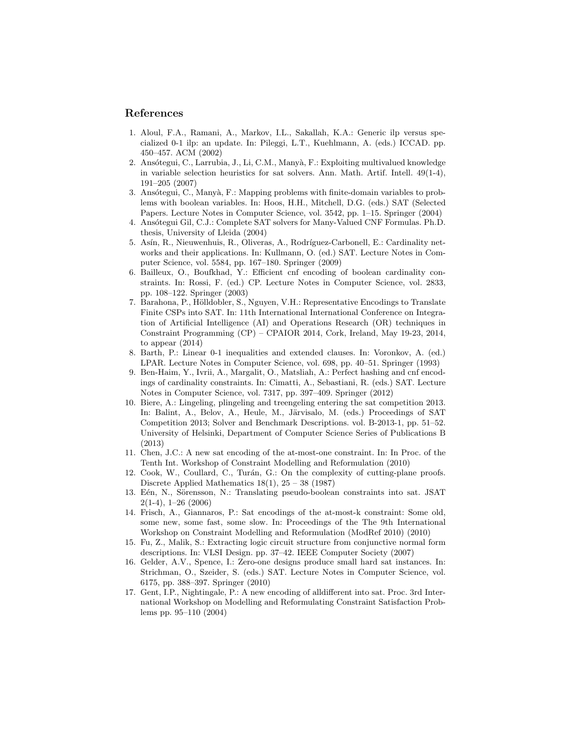### References

- 1. Aloul, F.A., Ramani, A., Markov, I.L., Sakallah, K.A.: Generic ilp versus specialized 0-1 ilp: an update. In: Pileggi, L.T., Kuehlmann, A. (eds.) ICCAD. pp. 450–457. ACM (2002)
- 2. Ansótegui, C., Larrubia, J., Li, C.M., Manyà, F.: Exploiting multivalued knowledge in variable selection heuristics for sat solvers. Ann. Math. Artif. Intell. 49(1-4), 191–205 (2007)
- 3. Ansótegui, C., Manyà, F.: Mapping problems with finite-domain variables to problems with boolean variables. In: Hoos, H.H., Mitchell, D.G. (eds.) SAT (Selected Papers. Lecture Notes in Computer Science, vol. 3542, pp. 1–15. Springer (2004)
- 4. Ansótegui Gil, C.J.: Complete SAT solvers for Many-Valued CNF Formulas. Ph.D. thesis, University of Lleida (2004)
- 5. Asín, R., Nieuwenhuis, R., Oliveras, A., Rodríguez-Carbonell, E.: Cardinality networks and their applications. In: Kullmann, O. (ed.) SAT. Lecture Notes in Computer Science, vol. 5584, pp. 167–180. Springer (2009)
- 6. Bailleux, O., Boufkhad, Y.: Efficient cnf encoding of boolean cardinality constraints. In: Rossi, F. (ed.) CP. Lecture Notes in Computer Science, vol. 2833, pp. 108–122. Springer (2003)
- 7. Barahona, P., Hölldobler, S., Nguyen, V.H.: Representative Encodings to Translate Finite CSPs into SAT. In: 11th International International Conference on Integration of Artificial Intelligence (AI) and Operations Research (OR) techniques in Constraint Programming (CP) – CPAIOR 2014, Cork, Ireland, May 19-23, 2014, to appear (2014)
- 8. Barth, P.: Linear 0-1 inequalities and extended clauses. In: Voronkov, A. (ed.) LPAR. Lecture Notes in Computer Science, vol. 698, pp. 40–51. Springer (1993)
- 9. Ben-Haim, Y., Ivrii, A., Margalit, O., Matsliah, A.: Perfect hashing and cnf encodings of cardinality constraints. In: Cimatti, A., Sebastiani, R. (eds.) SAT. Lecture Notes in Computer Science, vol. 7317, pp. 397–409. Springer (2012)
- 10. Biere, A.: Lingeling, plingeling and treengeling entering the sat competition 2013. In: Balint, A., Belov, A., Heule, M., Järvisalo, M. (eds.) Proceedings of SAT Competition 2013; Solver and Benchmark Descriptions. vol. B-2013-1, pp. 51–52. University of Helsinki, Department of Computer Science Series of Publications B (2013)
- 11. Chen, J.C.: A new sat encoding of the at-most-one constraint. In: In Proc. of the Tenth Int. Workshop of Constraint Modelling and Reformulation (2010)
- 12. Cook, W., Coullard, C., Turán, G.: On the complexity of cutting-plane proofs. Discrete Applied Mathematics  $18(1)$ ,  $25 - 38(1987)$
- 13. Eén, N., Sörensson, N.: Translating pseudo-boolean constraints into sat. JSAT 2(1-4), 1–26 (2006)
- 14. Frisch, A., Giannaros, P.: Sat encodings of the at-most-k constraint: Some old, some new, some fast, some slow. In: Proceedings of the The 9th International Workshop on Constraint Modelling and Reformulation (ModRef 2010) (2010)
- 15. Fu, Z., Malik, S.: Extracting logic circuit structure from conjunctive normal form descriptions. In: VLSI Design. pp. 37–42. IEEE Computer Society (2007)
- 16. Gelder, A.V., Spence, I.: Zero-one designs produce small hard sat instances. In: Strichman, O., Szeider, S. (eds.) SAT. Lecture Notes in Computer Science, vol. 6175, pp. 388–397. Springer (2010)
- 17. Gent, I.P., Nightingale, P.: A new encoding of alldifferent into sat. Proc. 3rd International Workshop on Modelling and Reformulating Constraint Satisfaction Problems pp. 95–110 (2004)